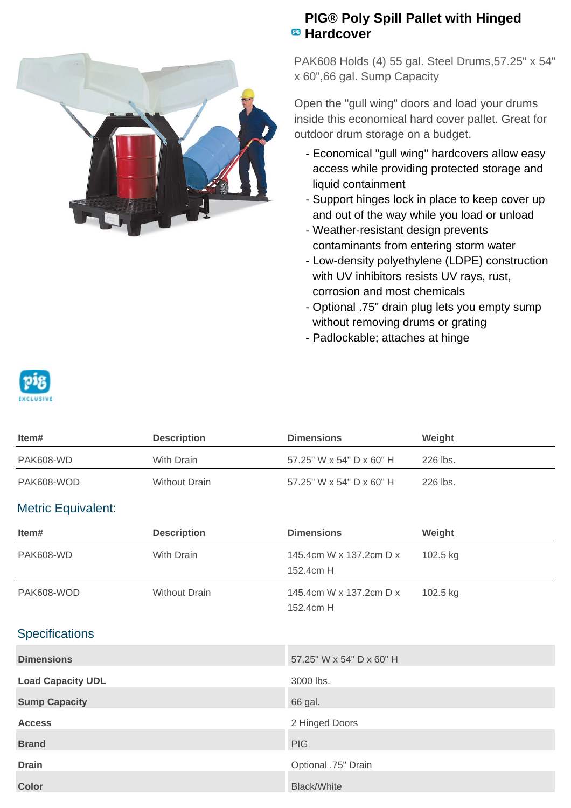

## **PIG® Poly Spill Pallet with Hinged Hardcover**

PAK608 Holds (4) 55 gal. Steel Drums,57.25" x 54" x 60",66 gal. Sump Capacity

Open the "gull wing" doors and load your drums inside this economical hard cover pallet. Great for outdoor drum storage on a budget.

- Economical "gull wing" hardcovers allow easy access while providing protected storage and liquid containment
- Support hinges lock in place to keep cover up and out of the way while you load or unload
- Weather-resistant design prevents contaminants from entering storm water
- Low-density polyethylene (LDPE) construction with UV inhibitors resists UV rays, rust, corrosion and most chemicals
- Optional .75" drain plug lets you empty sump without removing drums or grating
- Padlockable; attaches at hinge



| ltem#      | <b>Description</b>   | <b>Dimensions</b>        | Weight   |
|------------|----------------------|--------------------------|----------|
| PAK608-WD  | With Drain           | 57.25" W x 54" D x 60" H | 226 lbs. |
| PAK608-WOD | <b>Without Drain</b> | 57.25" W x 54" D x 60" H | 226 lbs. |

## Metric Equivalent:

| Item#                    | <b>Description</b>   | <b>Dimensions</b>                    | Weight   |
|--------------------------|----------------------|--------------------------------------|----------|
| <b>PAK608-WD</b>         | With Drain           | 145.4cm W x 137.2cm D x<br>152.4cm H | 102.5 kg |
| PAK608-WOD               | <b>Without Drain</b> | 145.4cm W x 137.2cm D x<br>152.4cm H | 102.5 kg |
| <b>Specifications</b>    |                      |                                      |          |
| <b>Dimensions</b>        |                      | 57.25" W x 54" D x 60" H             |          |
| <b>Load Capacity UDL</b> |                      | 3000 lbs.                            |          |
| <b>Sump Capacity</b>     |                      | 66 gal.                              |          |
| <b>Access</b>            |                      | 2 Hinged Doors                       |          |
| <b>Brand</b>             |                      | <b>PIG</b>                           |          |

**Drain Drain Optional .75" Drain** 

**Color** Black/White